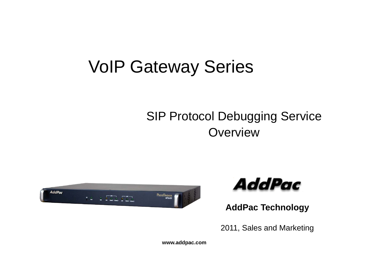# VoIP Gateway Series

#### SIP Protocol Debugging Service Overview \_\_\_\_\_\_





**AddPac Technology**

2011, Sales and Marketing

**www.addpac.com**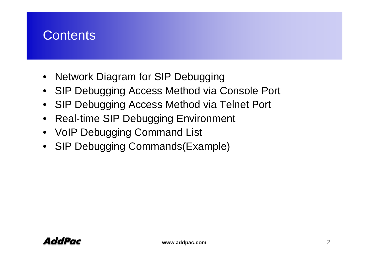#### **Contents**

- Network Diagram for SIP Debugging
- SIP Debugging Access Method via Console Port
- SIP Debugging Access Method via Telnet Port
- Real-time SIP Debugging Environment
- VoIP Debugging Command List
- SIP Debugging Commands(Example)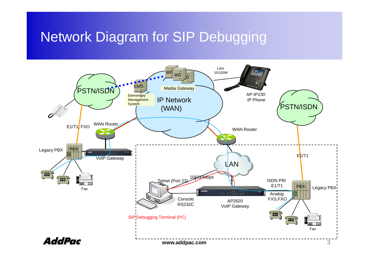#### Network Diagram for SIP Debugging

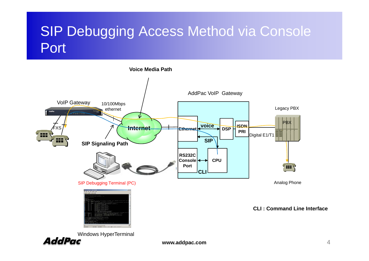# SIP Debugging Access Method via Console Port



**www.addpac.com**

4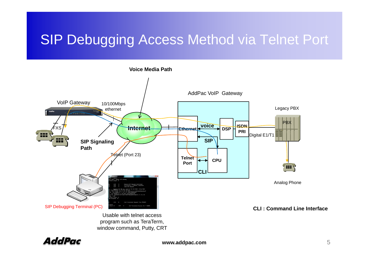# SIP Debugging Access Method via Telnet Port



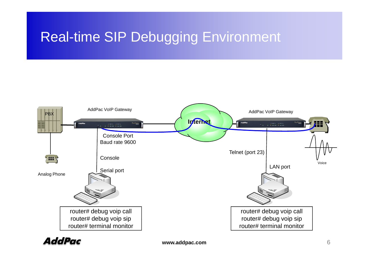# **Real-time SIP Debugging Environment**



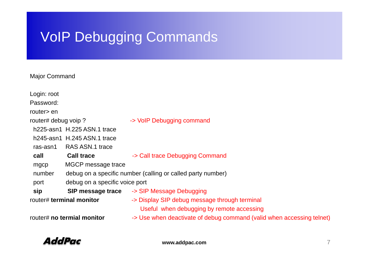# VoIP Debugging Commands

#### Major Command

| Login: root                |                                                             |                                                                       |  |
|----------------------------|-------------------------------------------------------------|-----------------------------------------------------------------------|--|
| Password:                  |                                                             |                                                                       |  |
| router> en                 |                                                             |                                                                       |  |
| router# debug voip?        |                                                             | -> VoIP Debugging command                                             |  |
|                            | h225-asn1 H.225 ASN.1 trace                                 |                                                                       |  |
|                            | h245-asn1 H.245 ASN.1 trace                                 |                                                                       |  |
| ras-asn1                   | RAS ASN.1 trace                                             |                                                                       |  |
| call                       | <b>Call trace</b>                                           | -> Call trace Debugging Command                                       |  |
| mgcp                       | MGCP message trace                                          |                                                                       |  |
| number                     | debug on a specific number (calling or called party number) |                                                                       |  |
| port                       | debug on a specific voice port                              |                                                                       |  |
| sip                        |                                                             | <b>SIP message trace -&gt; SIP Message Debugging</b>                  |  |
| router# terminal monitor   |                                                             | -> Display SIP debug message through terminal                         |  |
|                            |                                                             | Useful when debugging by remote accessing                             |  |
| router# no termial monitor |                                                             | -> Use when deactivate of debug command (valid when accessing telnet) |  |
|                            |                                                             |                                                                       |  |

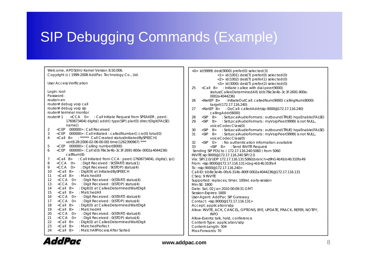# SIP Debugging Commands (Example)

| Welcome, APOS(tm) Kernel Version 8.50.006.<br>Copyright (c) 1999-2008 AddPac Technology Co., Ltd.                                                                                 | <0> id(9999) dest(9000) prefer(0) selected(3)<br>$\langle 1 \rangle$ id(1001) dest(T) prefer(0) selected(0)                                                                  |
|-----------------------------------------------------------------------------------------------------------------------------------------------------------------------------------|------------------------------------------------------------------------------------------------------------------------------------------------------------------------------|
| <b>User Access Verification</b>                                                                                                                                                   | $\langle 2 \rangle$ id(1002) dest(T) prefer(1) selected(0)<br><3> id(3000) dest(T) prefer(2) selected(0)<br><call 8=""> : Initiate callee with dial-peer(9000)<br/>25</call> |
| Login: root                                                                                                                                                                       | status(CalleeDeterminedAll) id(b78e3e4b-3c3f-2691-800e-                                                                                                                      |
| Password:                                                                                                                                                                         | 0002a4044236)                                                                                                                                                                |
| router> en                                                                                                                                                                        | $<$ NetEP 8><br>: InitiateOutCall: calledNum(9000) callingNum(8000)<br>26                                                                                                    |
| router# debug voip call                                                                                                                                                           | target(172.17.116.240)                                                                                                                                                       |
| router# debug voip sip                                                                                                                                                            | <netep 8=""> : DoCall: calledAddr(sip:9000@172.17.116.240)<br/>27</netep>                                                                                                    |
| router# terminal monitor                                                                                                                                                          | callingAddr(8000)                                                                                                                                                            |
| <cca 0=""> : Call Initiate Request from SPEAKER, peer(-<br/>router<math># 1</math></cca>                                                                                          | <sip 8=""> : SetLocalAudioFormats : outbound(TRUE) hqaEnable(FALSE)<br/>28</sip>                                                                                             |
| 1760673404) digits() addr() type(SIP) plar(0) directDigit(FALSE)                                                                                                                  | : SetLocalAudioFormats : myVoipPeer(9999) is not NULL,<br>29<br>$\langle$ SIP 8>                                                                                             |
| name()                                                                                                                                                                            | voiceCodecClass(0)                                                                                                                                                           |
| <cep 000000="">: Call Received<br/>2</cep>                                                                                                                                        | <sip 8=""> : SetLocalAudioFormats : outbound(TRUE) hqaEnable(FALSE)<br/>30</sip>                                                                                             |
| <cep 000000="">: Call Initiated: called Number() crv(0) total(0)<br/>3<br/><call 8=""> : ****** Call Created status(InitiatedBySPEECH)<br/><math>\overline{4}</math></call></cep> | <sip 8=""> : SetLocalAudioFormats : myVoipPeer(9999) is not NULL,<br/>31</sip>                                                                                               |
| ver(8.28:2006-02-06-00-00) time(1262390967) ****                                                                                                                                  | voiceCodecClass(0)                                                                                                                                                           |
| <cep 000000="">: Calling number(8000)<br/>5</cep>                                                                                                                                 | $<$ SIP 0><br>32<br>: No authentication information available<br>33                                                                                                          |
| 6<br><cep 000000="">: Callid(b78e3e4b-3c3f-2691-800e-0002a4044236)</cep>                                                                                                          | <sip 8=""> : Send INVITE Request</sip>                                                                                                                                       |
| callNum(8)                                                                                                                                                                        | Sending SIP PDU to (172.17.116.240:5060) from 5060<br>INVITE sip: 9000@172.17.116.240 SIP/2.0                                                                                |
| $\le$ Call 8> : Call Initiated from CCA : peer(-1760673404), digits(), ip()<br>7                                                                                                  | Via: SIP/2.0/UDP 172.17.116.131:5060;branch-z9hG4bKbb4b310fa49                                                                                                               |
| <cca 0=""> : Digit Received : 9(START) status(1)<br/>8</cca>                                                                                                                      | From: <sip:8000@172.17.116.131>;tag=bb4b310fa4</sip:8000@172.17.116.131>                                                                                                     |
| <cca 0=""> : Digit Received : 9(STOP) status(4)<br/>9</cca>                                                                                                                       | To: <sip:9000@172.17.116.240></sip:9000@172.17.116.240>                                                                                                                      |
| $\langle$ Call 8><br>: Digit(9) at InitiatedBySPEECH<br>10                                                                                                                        | Call-ID: bb8e3e4b-0fa6-314b-800f-0002a4044236@172.17.116.131                                                                                                                 |
| $\langle$ Call 8><br>: MatchedAll<br>11                                                                                                                                           | CSeq: 9 INVITE                                                                                                                                                               |
| $\angle CCA$ 0> : Digit Received : 0(START) status(4)<br>12                                                                                                                       | Supported: replaces, timer, 100rel, early-session                                                                                                                            |
| <cca 0=""> : Digit Received : 0(STOP) status(4)<br/>13</cca>                                                                                                                      | Min-SE: 1800                                                                                                                                                                 |
| $\langle$ Call 8><br>: Digit(0) at CalleeDeterminedWaitDigit<br>14                                                                                                                | Date: Sat, 02 Jan 2010 00:09:31 GMT                                                                                                                                          |
| $\langle$ Call 8><br>: MatchedAll<br>15                                                                                                                                           | Session-Expires: 1800                                                                                                                                                        |
| $\langle CCA \quad 0 \rangle$ : Digit Received : $0(START)$ status(4)<br>16                                                                                                       | User-Agent: AddPac SIP Gateway                                                                                                                                               |
| <cca 0=""> : Digit Received : 0(STOP) status(4)<br/>17</cca>                                                                                                                      | Contact: <sip:8000@172.17.116.131></sip:8000@172.17.116.131>                                                                                                                 |
| : Digit(0) at CalleeDeterminedWaitDigit<br>$\langle$ Call 8><br>18                                                                                                                | Accept: application/sdp                                                                                                                                                      |
| $\langle$ Call 8><br>: MatchedAll<br>19                                                                                                                                           | Allow: INVITE, ACK, CANCEL, OPTIONS, BYE, UPDATE, PRACK, REFER, NOTIFY,                                                                                                      |
| <cca 0=""> : Digit Received : 0(START) status(4)<br/>20</cca>                                                                                                                     | <b>INFO</b>                                                                                                                                                                  |
| <cca 0=""> : Digit Received : 0(STOP) status(4)<br/>21</cca>                                                                                                                      | Allow-Events: talk, hold, conference                                                                                                                                         |
| <call 8=""><br/>: Digit(0) at CalleeDeterminedWaitDigit<br/>22</call>                                                                                                             | Content-Type: application/sdp                                                                                                                                                |
| $\langle$ Call 8><br>: MatchedPerfect<br>23<br>24<br>: MatchAllProcess After Sorted                                                                                               | Content-Length: 304                                                                                                                                                          |
| <call 8=""></call>                                                                                                                                                                | Max-Forwards: 70                                                                                                                                                             |

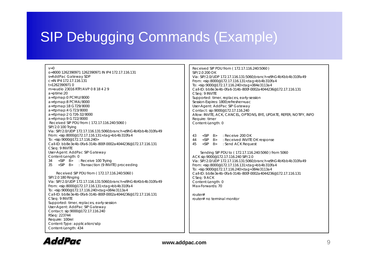### SIP Debugging Commands (Example)

 $v = 0$ 

0=8000 1262390971 1262390971 IN IP4 172.17.116.131<br>s=AddPac Gateway SDP S i E i 1800 f h Session-Expires: 1800;refresher=uac c=IN IP4 172.17.116.131t=1262390971 0 m=audio 23016 RTP/AVP 0 8 18 4 2 9a=ptime:20 a=rtpmap:0 PCMU/8000 a=rtpmap:8 PCMA/8000 a=rtpmap:18 G729/8000 a=rtpmap:4 G723/8000 a=rtpmap:2 G726-32/8000 a=rtpmap:9 G722/8000 Received SIP PDU from ( 172.17.116.240:5060 ) SIP/2.0 100 Trying Via: SIP/2.0/UDP 172.17.116.131:5060;branch=z9hG4bKbb4b310fa49<br>From: <sip:8000@172.17.116.131>;tag=bb4b310fa4 To: <sip:9000@172.17.116.240> Call-ID: bb8e3e4b-0fa6-314b-800f-0002a4044236@172.17.116.131CSeq: 9 INVITE User-Agent: AddPac SIP Gateway Content-Length: 0 34 <SIP 8> : Receive 100 Trying 35 <SIP 8> : Transaction (9 INVITE) proceeding Received SIP PDU from ( 172.17.116.240:5060 ) SIP/2.0 180 Ringing Via: SIP/2.0/UDP 172.17.116.131:5060;branch=z9hG4bKbb4b310fa49 From: <sip:8000@172.17.116.131>;tag=bb4b310fa4 To: <sip:9000@172 17 116 240>;tag 384e3113a4 Call-ID: bb8e3e4b-0fa6-314b-800f-0002a4044236@172.17.116.131 CSeq: 9 INVITE Supported: timer, replaces, early-session User-Agent: AddPac SIP Gateway Contact: sip:9000@172.17.116.240 RSeq: 223744 Require: 100rel Content-Type: application/sdp

 Received SIP PDU from ( 172.17.116.240:5060 ) SIP/2.0 200 OKVia: SIP/2.0/UDP 172.17.116.131:5060;branch=z9hG4bKbb4b310fa49 From: <sip:8000@172.17.116.131>;tag=bb4b310fa4 To: <sip:9000@172.17.116.240>;tag=384e3113a4 Call-ID: bb8e3e4b-0fa6-314b-800f-0002a4044236@172.17.116.131CSeq: 9 INVITE Supported: timer, replaces, early-session User-Agent: AddPac SIP Gateway Contact: sip:9000@172.17.116.240 Allow: INVITE, ACK, CANCEL, OPTIONS, BYE, UPDATE, REFER, NOTIFY, INFO Require: timer Content-Length: 0

43 <SIP 8> : Receive 200 OK44 <SIP 8> : Received INVITE OK response 45 <SIP 8> : Send ACK Request

Sending SIP PDU to ( 172.17.116.240:5060 ) from 5060 ACK sip:9000@172.17.116.240 SIP/2.0 Vi SIP/2 0/UDP 172 17 116 131 5060 b h 9hG4bKbb4b310f 49 Via: SIP/2.0/UDP 172.17.116.131:5060;branch=z9hG4bKbb4b310fa49From: <sip:8000@172.17.116.131>;tag=bb4b310fa4 To: <sip:9000@172.17.116.240>;tag=384e3113a4 Call-ID: bb8e3e4b-0fa6-314b-800f-0002a4044236@172.17.116.131CSeq: 9 ACK Content-Length: 0 Max-Forwards: 70

> router#router# no terminal monitor



Content-Length: 434